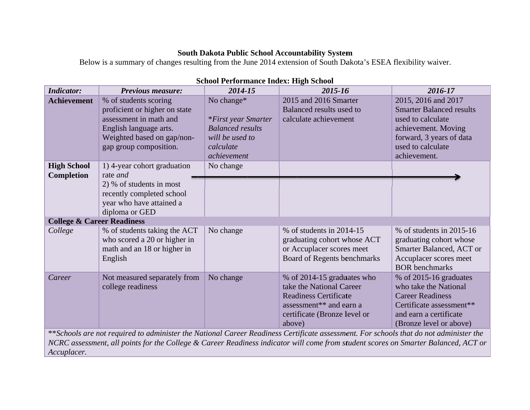## **South Dakota Public School Accountability System**

Below is a summary of changes resulting from the June 2014 extension of South Dakota's ESEA flexibility waiver.

| Denooi I erformance muca, migh behoof                                            |                                                                                                                                                                    |                                                                                                                    |                                                                                                                                                                         |                                                                                                                                                                     |  |  |  |
|----------------------------------------------------------------------------------|--------------------------------------------------------------------------------------------------------------------------------------------------------------------|--------------------------------------------------------------------------------------------------------------------|-------------------------------------------------------------------------------------------------------------------------------------------------------------------------|---------------------------------------------------------------------------------------------------------------------------------------------------------------------|--|--|--|
| <b>Indicator:</b>                                                                | <b>Previous measure:</b>                                                                                                                                           | 2014-15                                                                                                            | 2015-16                                                                                                                                                                 | 2016-17                                                                                                                                                             |  |  |  |
| <b>Achievement</b>                                                               | % of students scoring<br>proficient or higher on state<br>assessment in math and<br>English language arts.<br>Weighted based on gap/non-<br>gap group composition. | No change*<br><i>*First year Smarter</i><br><b>Balanced results</b><br>will be used to<br>calculate<br>achievement | 2015 and 2016 Smarter<br>Balanced results used to<br>calculate achievement                                                                                              | 2015, 2016 and 2017<br><b>Smarter Balanced results</b><br>used to calculate<br>achievement. Moving<br>forward, 3 years of data<br>used to calculate<br>achievement. |  |  |  |
| <b>High School</b><br><b>Completion</b><br><b>College &amp; Career Readiness</b> | 1) 4-year cohort graduation<br>rate <i>and</i><br>2) % of students in most<br>recently completed school<br>year who have attained a<br>diploma or GED              | No change                                                                                                          |                                                                                                                                                                         |                                                                                                                                                                     |  |  |  |
| College                                                                          | % of students taking the ACT<br>who scored a 20 or higher in<br>math and an 18 or higher in<br>English                                                             | No change                                                                                                          | $%$ of students in 2014-15<br>graduating cohort whose ACT<br>or Accuplacer scores meet<br>Board of Regents benchmarks                                                   | $%$ of students in 2015-16<br>graduating cohort whose<br>Smarter Balanced, ACT or<br>Accuplacer scores meet<br><b>BOR</b> benchmarks                                |  |  |  |
| Career                                                                           | Not measured separately from<br>college readiness                                                                                                                  | No change                                                                                                          | % of 2014-15 graduates who<br>take the National Career<br><b>Readiness Certificate</b><br>assessment <sup>**</sup> and earn a<br>certificate (Bronze level or<br>above) | % of $2015-16$ graduates<br>who take the National<br><b>Career Readiness</b><br>Certificate assessment**<br>and earn a certificate<br>(Bronze level or above)       |  |  |  |

School Performance Index: High School

\*\*Schools are not required to administer the National Career Readiness Certificate assessment. For schools that do not administer the NCRC assessment, all points for the College & Career Readiness indicator will come from student scores on Smarter Balanced, ACT or Accuplacer.